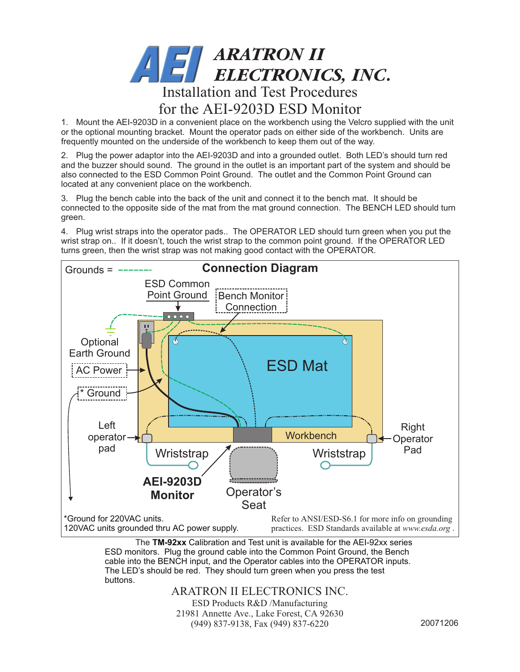

1. Mount the AEI-9203D in a convenient place on the workbench using the Velcro supplied with the unit or the optional mounting bracket. Mount the operator pads on either side of the workbench. Units are frequently mounted on the underside of the workbench to keep them out of the way.

2. Plug the power adaptor into the AEI-9203D and into a grounded outlet. Both LED's should turn red and the buzzer should sound. The ground in the outlet is an important part of the system and should be also connected to the ESD Common Point Ground. The outlet and the Common Point Ground can located at any convenient place on the workbench.

3. Plug the bench cable into the back of the unit and connect it to the bench mat. It should be connected to the opposite side of the mat from the mat ground connection. The BENCH LED should turn green.

4. Plug wrist straps into the operator pads.. The OPERATOR LED should turn green when you put the wrist strap on.. If it doesn't, touch the wrist strap to the common point ground. If the OPERATOR LED turns green, then the wrist strap was not making good contact with the OPERATOR.



ESD monitors. Plug the ground cable into the Common Point Ground, the Bench cable into the BENCH input, and the Operator cables into the OPERATOR inputs. The LED's should be red. They should turn green when you press the test buttons.

ARATRON II ELECTRONICS INC.

ESD Products R&D /Manufacturing 21981 Annette Ave., Lake Forest, CA 92630 (949) 837-9138, Fax (949) 837-6220